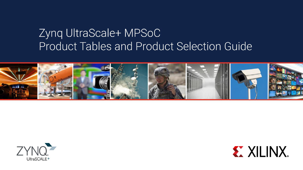# Zynq UltraScale+ MPSoC Product Tables and Product Selection Guide





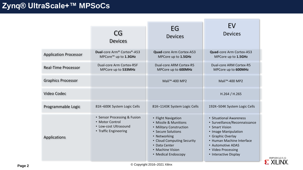## **Zynq® UltraScale+™ MPSoCs**

|                              | CG<br><b>Devices</b>                                                                              | EG<br><b>Devices</b>                                                                                                                                                                                    | EV<br><b>Devices</b>                                                                                                                                                                                                     |
|------------------------------|---------------------------------------------------------------------------------------------------|---------------------------------------------------------------------------------------------------------------------------------------------------------------------------------------------------------|--------------------------------------------------------------------------------------------------------------------------------------------------------------------------------------------------------------------------|
| <b>Application Processor</b> | Dual-core Arm® Cortex®-A53<br>MPCore <sup>™</sup> up to 1.3GHz                                    | Quad-core Arm Cortex-A53<br>MPCore up to 1.5GHz                                                                                                                                                         | Quad-core Arm Cortex-A53<br>MPCore up to 1.5GHz                                                                                                                                                                          |
| <b>Real-Time Processor</b>   | Dual-core Arm Cortex-R5F<br>MPCore up to 533MHz                                                   | Dual-core ARM Cortex-R5<br>MPCore up to 600MHz                                                                                                                                                          | Dual-core ARM Cortex-R5<br>MPCore up to 600MHz                                                                                                                                                                           |
| <b>Graphics Processor</b>    |                                                                                                   | Mali <sup>™</sup> -400 MP2                                                                                                                                                                              | Mali <sup>™</sup> -400 MP2                                                                                                                                                                                               |
| Video Codec                  |                                                                                                   |                                                                                                                                                                                                         | H.264 / H.265                                                                                                                                                                                                            |
| Programmable Logic           | 81K-600K System Logic Cells                                                                       | 81K-1143K System Logic Cells                                                                                                                                                                            | 192K-504K System Logic Cells                                                                                                                                                                                             |
| <b>Applications</b>          | • Sensor Processing & Fusion<br>• Motor Control<br>• Low-cost Ultrasound<br>• Traffic Engineering | • Flight Navigation<br>• Missile & Munitions<br>• Military Construction<br>• Secure Solutions<br>• Networking<br>• Cloud Computing Security<br>• Data Center<br>• Machine Vision<br>• Medical Endoscopy | • Situational Awareness<br>• Surveillance/Reconnaissance<br>• Smart Vision<br>• Image Manipulation<br>• Graphic Overlay<br>• Human Machine Interface<br>• Automotive ADAS<br>• Video Processing<br>• Interactive Display |

© Copyright 2016–2021 Xilinx **Page 2**

 $\sum_{\text{MPI04}}^{\text{XMP104}}$  (v2.5.1)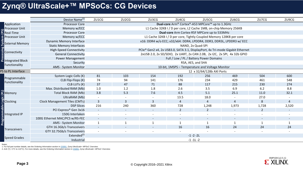#### **Zynq® UltraScale+™ MPSoCs: CG Devices**

|                                              | Device Name <sup>(1)</sup>                                         | ZU1CG                                                                         | ZU <sub>2</sub> CG       | ZU3CG                    | ZU4CG                    | ZU5CG                                                                    | ZU6CG                    | ZU7CG                    | ZU9CG                    |  |  |  |  |  |  |  |
|----------------------------------------------|--------------------------------------------------------------------|-------------------------------------------------------------------------------|--------------------------|--------------------------|--------------------------|--------------------------------------------------------------------------|--------------------------|--------------------------|--------------------------|--|--|--|--|--|--|--|
| Application                                  | <b>Processor Core</b>                                              |                                                                               |                          |                          |                          | Dual-core Arm® Cortex®-A53 MPCore™ up to 1.3GHz                          |                          |                          |                          |  |  |  |  |  |  |  |
| <b>Processor Unit</b>                        | Memory w/ECC                                                       |                                                                               |                          |                          |                          | L1 Cache 32KB I / D per core, L2 Cache 1MB, on-chip Memory 256KB         |                          |                          |                          |  |  |  |  |  |  |  |
| <b>Real-Time</b>                             | <b>Processor Core</b>                                              |                                                                               |                          |                          |                          | Dual-core Arm Cortex-R5F MPCore up to 533MHz                             |                          |                          |                          |  |  |  |  |  |  |  |
| <b>E</b> Processor Unit                      | Memory w/ECC                                                       |                                                                               |                          |                          |                          | L1 Cache 32KB I / D per core, Tightly Coupled Memory 128KB per core      |                          |                          |                          |  |  |  |  |  |  |  |
|                                              | <b>Dynamic Memory Interface</b>                                    |                                                                               |                          |                          |                          | x16: DDR4 w/o ECC; x32/x64: DDR4, LPDDR4, DDR3, DDR3L, LPDDR3 w/ ECC     |                          |                          |                          |  |  |  |  |  |  |  |
| <b>External Memory</b>                       | <b>Static Memory Interfaces</b>                                    | NAND, 2x Quad-SPI                                                             |                          |                          |                          |                                                                          |                          |                          |                          |  |  |  |  |  |  |  |
| <b>z</b> Connectivity                        | <b>High-Speed Connectivity</b>                                     | PCIe® Gen2 x4, 2x USB3.0, SATA 3.1, DisplayPort, 4x Tri-mode Gigabit Ethernet |                          |                          |                          |                                                                          |                          |                          |                          |  |  |  |  |  |  |  |
|                                              | <b>General Connectivity</b>                                        |                                                                               |                          |                          |                          | 2xUSB 2.0, 2x SD/SDIO, 2x UART, 2x CAN 2.0B, 2x I2C, 2x SPI, 4x 32b GPIO |                          |                          |                          |  |  |  |  |  |  |  |
| Integrated Block                             | <b>Power Management</b><br>Full / Low / PL / Battery Power Domains |                                                                               |                          |                          |                          |                                                                          |                          |                          |                          |  |  |  |  |  |  |  |
|                                              | RSA, AES, and SHA<br>Security                                      |                                                                               |                          |                          |                          |                                                                          |                          |                          |                          |  |  |  |  |  |  |  |
| Functionality                                | AMS - System Monitor                                               |                                                                               |                          |                          |                          | 10-bit, 1MSPS - Temperature and Voltage Monitor                          |                          |                          |                          |  |  |  |  |  |  |  |
| PS to PL Interface                           |                                                                    | 12 x 32/64/128b AXI Ports                                                     |                          |                          |                          |                                                                          |                          |                          |                          |  |  |  |  |  |  |  |
|                                              | System Logic Cells (K)                                             | 81                                                                            | 103                      | 154                      | 192                      | 256                                                                      | 469                      | 504                      | 600                      |  |  |  |  |  |  |  |
| Programmable<br>Functionality                | CLB Flip-Flops (K)                                                 | 74                                                                            | 94                       | 141                      | 176                      | 234                                                                      | 429                      | 461                      | 548                      |  |  |  |  |  |  |  |
|                                              | CLB LUTs (K)                                                       | 37                                                                            | 47                       | 71                       | 88                       | 117                                                                      | 215                      | 230                      | 274                      |  |  |  |  |  |  |  |
|                                              | Max. Distributed RAM (Mb)                                          | $1.0$                                                                         | 1.2                      | 1.8                      | 2.6                      | 3.5                                                                      | 6.9                      | 6.2                      | 8.8                      |  |  |  |  |  |  |  |
| Memory                                       | <b>Total Block RAM (Mb)</b>                                        | 3.8                                                                           | 5.3                      | 7.6                      | 4.5                      | 5.1                                                                      | 25.1                     | 11.0                     | 32.1                     |  |  |  |  |  |  |  |
|                                              | UltraRAM (Mb)                                                      | $\sim$                                                                        |                          |                          | 13.5                     | 18.0                                                                     |                          | 27.0                     |                          |  |  |  |  |  |  |  |
| Clocking                                     | <b>Clock Management Tiles (CMTs)</b>                               | $\overline{3}$                                                                | 3                        | $\overline{3}$           | $\overline{4}$           | $\overline{4}$                                                           | 4                        | 8                        | 4                        |  |  |  |  |  |  |  |
|                                              | <b>DSP Slices</b>                                                  | 216                                                                           | 240                      | 360                      | 728                      | 1,248                                                                    | 1,973                    | 1,728                    | 2,520                    |  |  |  |  |  |  |  |
|                                              | PCI Express® Gen 3x16                                              | $\sim$                                                                        | $\overline{\phantom{a}}$ |                          | 2                        | $\overline{2}$                                                           |                          | $\overline{2}$           |                          |  |  |  |  |  |  |  |
| ana<br>Entegrated IP<br>December<br>Property | 150G Interlaken                                                    | $\overline{\phantom{a}}$                                                      |                          |                          |                          |                                                                          |                          |                          |                          |  |  |  |  |  |  |  |
|                                              | 100G Ethernet MAC/PCS w/RS-FEC                                     | $\sim$                                                                        | $\overline{\phantom{a}}$ | $\overline{\phantom{a}}$ | $\overline{\phantom{a}}$ | $\overline{\phantom{a}}$                                                 | $\overline{\phantom{a}}$ | $\overline{\phantom{a}}$ | $\overline{\phantom{a}}$ |  |  |  |  |  |  |  |
|                                              | <b>AMS - System Monitor</b>                                        | $\mathbf{1}$                                                                  |                          |                          | $\mathbf{1}$             |                                                                          |                          |                          |                          |  |  |  |  |  |  |  |
|                                              | GTH 16.3Gb/s Transceivers                                          |                                                                               |                          |                          | 16                       | 16                                                                       | 24                       | 24                       | 24                       |  |  |  |  |  |  |  |
| Transceivers                                 | GTY 32.75Gb/s Transceivers                                         |                                                                               |                          |                          |                          |                                                                          |                          |                          |                          |  |  |  |  |  |  |  |
|                                              | Extended <sup>(2)</sup>                                            |                                                                               |                          |                          |                          | $-1 - 2 - 2L$                                                            |                          |                          |                          |  |  |  |  |  |  |  |
| <b>Speed Grades</b>                          | Industrial                                                         |                                                                               |                          |                          |                          | $-1 - 11 - 2$                                                            |                          |                          |                          |  |  |  |  |  |  |  |

Notes:

1. For full part number details, see the Ordering Information section in [DS891](http://www.xilinx.com/support/documentation/data_sheets/ds891-zynq-ultrascale-plus-overview.pdf), *Zynq UltraScale+ MPSoC Overview*.

2.-2LE (Tj = 0°C to 110°C). For more details, see the Ordering Information section in [DS891](http://www.xilinx.com/support/documentation/data_sheets/ds891-zynq-ultrascale-plus-overview.pdf), *Zynq UltraScale+ MPSoC Overview*.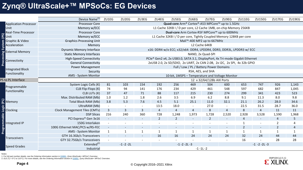### **Zynq® UltraScale+™ MPSoCs: EG Devices**

|                              | Device Name <sup>(1)</sup><br>ZU1EG<br>ZU2EG<br>ZU3EG<br>ZU4EG<br>ZU5EG<br>ZU7EG<br>ZU9EG<br>ZU11EG<br>ZU17EG<br>ZU19EG<br>ZU6EG<br>ZU15EG                                                  |                                                 |               |     |                |                   |                          |                                                                      |                          |                |                          |                |       |  |  |  |
|------------------------------|---------------------------------------------------------------------------------------------------------------------------------------------------------------------------------------------|-------------------------------------------------|---------------|-----|----------------|-------------------|--------------------------|----------------------------------------------------------------------|--------------------------|----------------|--------------------------|----------------|-------|--|--|--|
| <b>Application Processor</b> | <b>Processor Core</b>                                                                                                                                                                       |                                                 |               |     |                |                   |                          | Quad-core Arm® Cortex®-A53 MPCore™ up to 1.5GHz                      |                          |                |                          |                |       |  |  |  |
| Unit                         | Memory w/ECC                                                                                                                                                                                |                                                 |               |     |                |                   |                          | L1 Cache 32KB I / D per core, L2 Cache 1MB, on-chip Memory 256KB     |                          |                |                          |                |       |  |  |  |
| <b>Real-Time Processor</b>   | <b>Processor Core</b>                                                                                                                                                                       |                                                 |               |     |                |                   |                          | Dual-core Arm Cortex-R5F MPCore™ up to 600MHz                        |                          |                |                          |                |       |  |  |  |
| Unit                         | Memory w/ECC                                                                                                                                                                                |                                                 |               |     |                |                   |                          | L1 Cache 32KB I / D per core, Tightly Coupled Memory 128KB per core  |                          |                |                          |                |       |  |  |  |
| Graphic & Video              | <b>Graphics Processing Unit</b>                                                                                                                                                             |                                                 |               |     |                |                   |                          | Mali <sup>™</sup> -400 MP2 up to 667MHz                              |                          |                |                          |                |       |  |  |  |
| System (PS)<br>Acceleration  | Memory                                                                                                                                                                                      |                                                 |               |     |                |                   |                          | L2 Cache 64KB                                                        |                          |                |                          |                |       |  |  |  |
| <b>External Memory</b>       | <b>Dynamic Memory Interface</b>                                                                                                                                                             |                                                 |               |     |                |                   |                          | x16: DDR4 w/o ECC; x32/x64: DDR4, LPDDR4, DDR3, DDR3L, LPDDR3 w/ ECC |                          |                |                          |                |       |  |  |  |
|                              | <b>Static Memory Interfaces</b>                                                                                                                                                             |                                                 |               |     |                |                   |                          | NAND, 2x Quad-SPI                                                    |                          |                |                          |                |       |  |  |  |
| Processing<br>Connectivity   | PCIe® Gen2 x4, 2x USB3.0, SATA 3.1, DisplayPort, 4x Tri-mode Gigabit Ethernet<br><b>High-Speed Connectivity</b><br>2xUSB 2.0, 2x SD/SDIO, 2x UART, 2x CAN 2.0B, 2x I2C, 2x SPI, 4x 32b GPIO |                                                 |               |     |                |                   |                          |                                                                      |                          |                |                          |                |       |  |  |  |
|                              | <b>General Connectivity</b>                                                                                                                                                                 |                                                 |               |     |                |                   |                          |                                                                      |                          |                |                          |                |       |  |  |  |
| <b>Integrated Block</b>      | <b>Power Management</b><br>Full / Low / PL / Battery Power Domains                                                                                                                          |                                                 |               |     |                |                   |                          |                                                                      |                          |                |                          |                |       |  |  |  |
| Functionality                | RSA, AES, and SHA<br>Security                                                                                                                                                               |                                                 |               |     |                |                   |                          |                                                                      |                          |                |                          |                |       |  |  |  |
|                              | AMS - System Monitor                                                                                                                                                                        | 10-bit, 1MSPS - Temperature and Voltage Monitor |               |     |                |                   |                          |                                                                      |                          |                |                          |                |       |  |  |  |
| PS to PL Interface           | 12 x 32/64/128b AXI Ports                                                                                                                                                                   |                                                 |               |     |                |                   |                          |                                                                      |                          |                |                          |                |       |  |  |  |
| Programmable                 | System Logic Cells (K)                                                                                                                                                                      | 81                                              | 103           | 154 | 192            | 256               | 469                      | 504                                                                  | 600                      | 653            | 747                      | 926            | 1,143 |  |  |  |
| Functionality                | CLB Flip-Flops (K)                                                                                                                                                                          | 74                                              | 94            | 141 | 176            | 234               | 429                      | 461                                                                  | 548                      | 597            | 682                      | 847            | 1,045 |  |  |  |
|                              | CLB LUTs (K)                                                                                                                                                                                | 37                                              | 47            | 71  | 88             | 117               | 215                      | 230                                                                  | 274                      | 299            | 341                      | 423            | 523   |  |  |  |
|                              | Max. Distributed RAM (Mb)                                                                                                                                                                   | 1.0                                             | 1.2           | 1.8 | 2.6            | 3.5               | 6.9                      | 6.2                                                                  | 8.8                      | 9.1            | 11.3                     | 8.0            | 9.8   |  |  |  |
| Memory                       | Total Block RAM (Mb)                                                                                                                                                                        | 3.8                                             | 5.3           | 7.6 | 4.5            | 5.1               | 25.1                     | 11.0                                                                 | 32.1                     | 21.1           | 26.2                     | 28.0           | 34.6  |  |  |  |
|                              | UltraRAM (Mb)                                                                                                                                                                               | $\overline{\phantom{a}}$                        |               |     | 13.5           | 18.0              |                          | 27.0                                                                 | $\overline{\phantom{a}}$ | 22.5           | 31.5                     | 28.7           | 36.0  |  |  |  |
| Clocking                     | <b>Clock Management Tiles (CMTs)</b>                                                                                                                                                        | $\overline{3}$                                  | 3             | 3   | $\overline{4}$ | $\overline{4}$    | $\overline{4}$           | 8                                                                    | 4                        | 8              | $\overline{4}$           | 11             | 11    |  |  |  |
| Programmable Logic (PL)      | <b>DSP Slices</b>                                                                                                                                                                           | 216                                             | 240           | 360 | 728            | 1,248             | 1,973                    | 1,728                                                                | 2,520                    | 2,928          | 3,528                    | 1,590          | 1,968 |  |  |  |
|                              | PCI Express® Gen 3x16                                                                                                                                                                       |                                                 |               |     | $\overline{2}$ | $\overline{2}$    | $\overline{\phantom{a}}$ | $2^{\circ}$                                                          | $\overline{\phantom{a}}$ | $\overline{4}$ | $\sim$                   | $\overline{4}$ | 5     |  |  |  |
| Integrated IP                | 150G Interlaken                                                                                                                                                                             |                                                 |               |     |                |                   |                          |                                                                      |                          | $\mathbf{1}$   | $\blacksquare$           | $\overline{2}$ | 4     |  |  |  |
|                              | 100G Ethernet MAC/PCS w/RS-FEC                                                                                                                                                              |                                                 |               |     |                |                   |                          |                                                                      |                          | $\overline{2}$ | $\overline{\phantom{a}}$ | $\overline{2}$ | 4     |  |  |  |
|                              | AMS - System Monitor                                                                                                                                                                        | $\mathbf{1}$                                    |               |     | $\mathbf{1}$   | $\mathbf{1}$      | $\mathbf{1}$             | 1                                                                    | $\mathbf{1}$             | $\mathbf{1}$   | $\mathbf{1}$             | $\mathbf{1}$   | 1     |  |  |  |
| <b>Transceivers</b>          | GTH 16.3Gb/s Transceivers                                                                                                                                                                   |                                                 |               |     | 16             | 16                | 24                       | 24                                                                   | 24                       | 32             | 24                       | 44             | 44    |  |  |  |
|                              | GTY 32.75Gb/s Transceivers                                                                                                                                                                  |                                                 |               |     |                |                   |                          |                                                                      |                          | 16             |                          | 28             | 28    |  |  |  |
| <b>Speed Grades</b>          | Extended <sup>(2)</sup>                                                                                                                                                                     |                                                 | $-1 - 2 - 2L$ |     |                | $-1 - 2 - 2L - 3$ |                          |                                                                      |                          |                | $-1 -2 -2L -3$           |                |       |  |  |  |
|                              | Industrial                                                                                                                                                                                  |                                                 |               |     |                |                   |                          | $-1 - 11 - 2$                                                        |                          |                |                          |                |       |  |  |  |

Notes:

1. For full part number details, see the Ordering Information section in <u>DS891</u>, *Zynq UltraScale*∔ *MPSoC Overview.*<br>2.-2LE (Tj = 0°C to 110°C). For more details, see the Ordering Information section in <u>DS891,</u> Z*ynq U* 

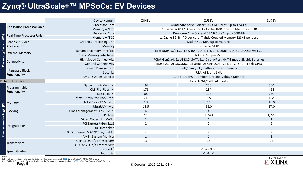### **Zynq® UltraScale+™ MPSoCs: EV Devices**

|                                   | Device Name <sup>(1)</sup>                                                                                                                                                                                                                      | ZU4EV                                                                         | ZU5EV                                                            | ZU7EV           |  |  |  |  |  |  |  |  |  |
|-----------------------------------|-------------------------------------------------------------------------------------------------------------------------------------------------------------------------------------------------------------------------------------------------|-------------------------------------------------------------------------------|------------------------------------------------------------------|-----------------|--|--|--|--|--|--|--|--|--|
|                                   | <b>Processor Core</b>                                                                                                                                                                                                                           |                                                                               | Quad-core Arm® Cortex®-A53 MPCore™ up to 1.5GHz                  |                 |  |  |  |  |  |  |  |  |  |
| <b>Application Processor Unit</b> | Memory w/ECC                                                                                                                                                                                                                                    |                                                                               | L1 Cache 32KB I / D per core, L2 Cache 1MB, on-chip Memory 256KB |                 |  |  |  |  |  |  |  |  |  |
| <b>Real-Time Processor Unit</b>   | <b>Processor Core</b>                                                                                                                                                                                                                           | Dual-core Arm Cortex-R5F MPCore™ up to 600MHz                                 |                                                                  |                 |  |  |  |  |  |  |  |  |  |
| (PS)                              | Memory w/ECC                                                                                                                                                                                                                                    | L1 Cache 32KB I / D per core, Tightly Coupled Memory 128KB per core           |                                                                  |                 |  |  |  |  |  |  |  |  |  |
| stem<br>Graphic & Video           | <b>Graphics Processing Unit</b><br>Mali <sup>™</sup> -400 MP2 up to 667MHz                                                                                                                                                                      |                                                                               |                                                                  |                 |  |  |  |  |  |  |  |  |  |
| Acceleration                      | Memory                                                                                                                                                                                                                                          |                                                                               |                                                                  |                 |  |  |  |  |  |  |  |  |  |
| $\mathfrak{F}$                    | <b>Dynamic Memory Interface</b>                                                                                                                                                                                                                 | x16: DDR4 w/o ECC; x32/x64: DDR4, LPDDR4, DDR3, DDR3L, LPDDR3 w/ ECC          |                                                                  |                 |  |  |  |  |  |  |  |  |  |
| ლი<br>ლ<br><b>External Memory</b> | <b>Static Memory Interfaces</b>                                                                                                                                                                                                                 |                                                                               |                                                                  |                 |  |  |  |  |  |  |  |  |  |
|                                   | <b>High-Speed Connectivity</b>                                                                                                                                                                                                                  | PCIe® Gen2 x4, 2x USB3.0, SATA 3.1, DisplayPort, 4x Tri-mode Gigabit Ethernet |                                                                  |                 |  |  |  |  |  |  |  |  |  |
| Connectivity                      | <b>General Connectivity</b>                                                                                                                                                                                                                     | 2xUSB 2.0, 2x SD/SDIO, 2x UART, 2x CAN 2.0B, 2x I2C, 2x SPI, 4x 32b GPIO      |                                                                  |                 |  |  |  |  |  |  |  |  |  |
|                                   | <b>Power Management</b>                                                                                                                                                                                                                         |                                                                               |                                                                  |                 |  |  |  |  |  |  |  |  |  |
| <b>Integrated Block</b>           | Security                                                                                                                                                                                                                                        |                                                                               |                                                                  |                 |  |  |  |  |  |  |  |  |  |
| Functionality                     | AMS - System Monitor                                                                                                                                                                                                                            | RSA, AES, and SHA<br>10-bit, 1MSPS - Temperature and Voltage Monitor          |                                                                  |                 |  |  |  |  |  |  |  |  |  |
| PS to PL Interface                |                                                                                                                                                                                                                                                 | 12 x 32/64/128b AXI Ports                                                     |                                                                  |                 |  |  |  |  |  |  |  |  |  |
|                                   | System Logic Cells (K)                                                                                                                                                                                                                          | 192                                                                           | 256                                                              | 504             |  |  |  |  |  |  |  |  |  |
| Programmable<br>Functionality     | CLB Flip-Flops (K)                                                                                                                                                                                                                              | 176                                                                           | 234                                                              | 461             |  |  |  |  |  |  |  |  |  |
|                                   | CLB LUTs (K)                                                                                                                                                                                                                                    | 88                                                                            | 117                                                              | 230             |  |  |  |  |  |  |  |  |  |
|                                   | Max. Distributed RAM (Mb)                                                                                                                                                                                                                       | 2.6                                                                           | 3.5                                                              | 6.2             |  |  |  |  |  |  |  |  |  |
| Memory                            | Total Block RAM (Mb)                                                                                                                                                                                                                            | 4.5                                                                           | 5.1                                                              | 11.0            |  |  |  |  |  |  |  |  |  |
|                                   | UltraRAM (Mb)                                                                                                                                                                                                                                   | 13.5                                                                          | 18.0                                                             | 27.0            |  |  |  |  |  |  |  |  |  |
| Clocking                          | <b>Clock Management Tiles (CMTs)</b>                                                                                                                                                                                                            | $\overline{4}$                                                                | 4                                                                | 8               |  |  |  |  |  |  |  |  |  |
|                                   | <b>DSP Slices</b>                                                                                                                                                                                                                               | 728                                                                           | 1,248                                                            | 1,728           |  |  |  |  |  |  |  |  |  |
|                                   | Video Codec Unit (VCU)                                                                                                                                                                                                                          | $\mathbf{1}$                                                                  | $\mathbf{1}$                                                     | $\mathbf{1}$    |  |  |  |  |  |  |  |  |  |
| Integrated IP                     | PCI Express® Gen 3x16                                                                                                                                                                                                                           | $\overline{2}$                                                                | 2                                                                | $\overline{2}$  |  |  |  |  |  |  |  |  |  |
| grammable Logic (PL)              | 150G Interlaken                                                                                                                                                                                                                                 |                                                                               |                                                                  |                 |  |  |  |  |  |  |  |  |  |
|                                   | 100G Ethernet MAC/PCS w/RS-FEC                                                                                                                                                                                                                  |                                                                               |                                                                  |                 |  |  |  |  |  |  |  |  |  |
| ՟                                 | AMS - System Monitor                                                                                                                                                                                                                            | $\mathbf{1}$                                                                  | $\mathbf{1}$                                                     | $\mathbf{1}$    |  |  |  |  |  |  |  |  |  |
| Transceivers                      | GTH 16.3Gb/s Transceivers                                                                                                                                                                                                                       | 16                                                                            | 16                                                               | 24              |  |  |  |  |  |  |  |  |  |
|                                   | GTY 32.75Gb/s Transceivers                                                                                                                                                                                                                      | $\sim$                                                                        | $-1 - 2 - 2L - 3$                                                |                 |  |  |  |  |  |  |  |  |  |
| <b>Speed Grades</b>               | Extended <sup>(2)</sup>                                                                                                                                                                                                                         |                                                                               |                                                                  |                 |  |  |  |  |  |  |  |  |  |
|                                   | Industrial                                                                                                                                                                                                                                      |                                                                               | $-1 - 11 - 2$                                                    |                 |  |  |  |  |  |  |  |  |  |
| Page 5                            | 1. For full part number details, see the Ordering Information section in DS891, Zynq UltraScale+ MPSoC Overview<br>2.-2LE (Tj = 0°C to 110°C). For more details, see the Ordering Information section in DS891, Zynq UltraScale+ MPSoC Overview | @ Convright 2016 2021 Yiliny                                                  |                                                                  | XMP104 (v2.5.1) |  |  |  |  |  |  |  |  |  |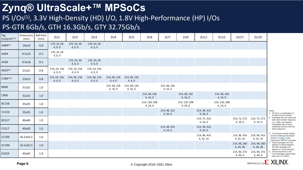# **Zynq® UltraScale+™ MPSoCs**

### PS I/Os<sup>(1)</sup>, 3.3V High-Density (HD) I/O, 1.8V High-Performance (HP) I/Os PS-GTR 6Gb/s, GTH 16.3Gb/s, GTY 32.75Gb/s

| Pkg<br>Footprint $(2,3)$ | Dimensions<br>(mm) | <b>Ball Pitch</b><br>(mm) | ZU1                      | ZU <sub>2</sub>         | ZU3                     | ZU4                      | ZU <sub>5</sub>          | ZU <sub>6</sub>           | ZU7                      | ZU9                       | ZU11                      | ZU15                      | ZU17                      | ZU19                      |                                                                                                                         |
|--------------------------|--------------------|---------------------------|--------------------------|-------------------------|-------------------------|--------------------------|--------------------------|---------------------------|--------------------------|---------------------------|---------------------------|---------------------------|---------------------------|---------------------------|-------------------------------------------------------------------------------------------------------------------------|
| A484 <sup>(4)</sup>      | 19x19              | 0.8                       | 170, 24, 58<br>4, 0, 0   | 170, 24, 58<br>4, 0, 0  | 170, 24, 58<br>4, 0, 0  |                          |                          |                           |                          |                           |                           |                           |                           |                           |                                                                                                                         |
| A494                     | 9.5x15             | 0.5                       | 170, 24, 58<br>4, 0, 0   |                         |                         |                          |                          |                           |                          |                           |                           |                           |                           |                           |                                                                                                                         |
| A530                     | 9.5x16             | 0.5                       |                          | 170, 24, 58<br>4, 0, 0  | 170, 24, 58<br>4, 0, 0  |                          |                          |                           |                          |                           |                           |                           |                           |                           |                                                                                                                         |
| A625 <sup>(4)</sup>      | 21x21              | 0.8                       | 170, 24, 156<br>4, 0, 0  | 170, 24, 156<br>4, 0, 0 | 170, 24, 156<br>4, 0, 0 |                          |                          |                           |                          |                           |                           |                           |                           |                           |                                                                                                                         |
| $C784^{(4,5)}$           | 23x23              | 0.8                       | 214, 24, 156,<br>4, 0, 0 | 214, 96, 156<br>4, 0, 0 | 214, 96, 156<br>4, 0, 0 | 214, 96, 156<br>4, 4, 0  | 214, 96, 156<br>4, 4, 0  |                           |                          |                           |                           |                           |                           |                           |                                                                                                                         |
| <b>B900</b>              | 31x31              | 1.0                       |                          |                         |                         | 214, 48, 156<br>4, 16, 0 | 214, 48, 156<br>4, 16, 0 |                           | 214, 48, 156<br>4, 16, 0 |                           |                           |                           |                           |                           |                                                                                                                         |
| C900                     | 31x31              | 1.0                       |                          |                         |                         |                          |                          | 214, 48, 156<br>4, 16, 0  |                          | 214, 48, 156<br>4, 16, 0  |                           | 214, 48, 156<br>4, 16, 0  |                           |                           |                                                                                                                         |
| <b>B1156</b>             | 35x35              | 1.0                       |                          |                         |                         |                          |                          | 214, 120, 208<br>4, 24, 0 |                          | 214, 120, 208<br>4, 24, 0 |                           | 214, 120, 208<br>4, 24, 0 |                           |                           |                                                                                                                         |
| C1156                    | 35x35              | 1.0                       |                          |                         |                         |                          |                          |                           | 214, 48, 312<br>4, 20, 0 |                           | 214, 48, 312<br>4, 20, 0  |                           |                           |                           | Notes:<br>1. PS I/O is a combination of<br>PS MIO and PS DDRIO.                                                         |
| B1517                    | 40x40              | 1.0                       |                          |                         |                         |                          |                          |                           |                          |                           | 214, 72, 416<br>4, 16, 0  |                           | 214, 72, 572<br>4, 16, 0  | 214, 72, 572<br>4, 16, 0  | 2. Packages with the same last<br>letter and number sequence,<br>e.g., A484, are footprint<br>compatible with all other |
| F1517                    | 40x40              | $1.0$                     |                          |                         |                         |                          |                          |                           | 214, 48, 416<br>4, 24, 0 |                           | 214, 48, 416<br>4, 32, 0  |                           |                           |                           | UltraScale devices with the<br>same sequence.                                                                           |
| C1760                    | 42.5x42.5          | 1.0                       |                          |                         |                         |                          |                          |                           |                          |                           | 214, 96, 416<br>4, 32, 16 |                           | 214, 96, 416<br>4, 32, 16 | 214, 96, 416<br>4, 32, 16 | For full part number details<br>see the Ordering Information<br>section in DS891, Zyng<br>UltraScale+ MPSoC Overview    |
| D <sub>1760</sub>        | 42.5x42.5          | 1.0                       |                          |                         |                         |                          |                          |                           |                          |                           |                           |                           | 214, 48, 260<br>4, 44, 28 | 214, 48, 260<br>4, 44, 28 | 4. These packages are only<br>offered in 0.8mm ballpitch<br>All other packages are<br>offered in 1.0mm ball pitch.      |
| E1924                    | 45x45              | 1.0                       |                          |                         |                         |                          |                          |                           |                          |                           |                           |                           | 214, 96, 572<br>4, 44, 0  | 214, 96, 572<br>4, 44, 0  | GTH transceivers in the<br>C784 package support data<br>rates up to 12.5Gb/s.                                           |

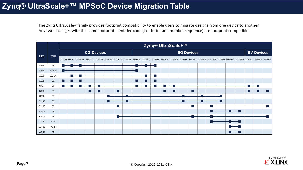#### **Zynq® UltraScale+™ MPSoC Device Migration Table**

The Zynq UltraScale+ family provides footprint compatibility to enable users to migrate designs from one device to another. Any two packages with the same footprint identifier code (last letter and number sequence) are footprint compatible.



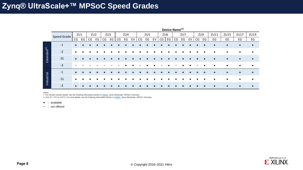|                         |             |           | Device Name <sup>(1)</sup> |                 |    |    |     |    |     |    |    |                 |    |    |                 |    |     |    |    |     |      |           |           |           |
|-------------------------|-------------|-----------|----------------------------|-----------------|----|----|-----|----|-----|----|----|-----------------|----|----|-----------------|----|-----|----|----|-----|------|-----------|-----------|-----------|
|                         | Speed Grade | ZU1       |                            | ZU <sub>2</sub> |    |    | ZU3 |    | ZU4 |    |    | ZU <sub>5</sub> |    |    | ZU <sub>6</sub> |    | ZU7 |    |    | ZU9 | ZU11 | ZU15      | ZU17      | ZU19      |
|                         |             | CG        | EG                         | CG              | EG | CG | EG  | CG | EG  | EV | CG | EG              | EV | CG | EG              | CG | EG  | EV | CG | EG  | EG   | EG        | EG        | EG        |
|                         | $-1$        | $\bullet$ |                            |                 |    |    |     |    |     |    |    |                 |    |    |                 |    |     |    |    |     |      | $\bullet$ | $\bullet$ | $\bullet$ |
|                         | $-2$        |           |                            |                 |    |    |     |    |     |    |    |                 |    |    |                 |    |     |    |    |     |      |           | $\bullet$ | $\bullet$ |
| Extended <sup>(2)</sup> | $-2L$       | $\bullet$ |                            |                 |    |    |     |    |     |    |    |                 |    |    |                 |    |     |    |    |     |      |           | $\bullet$ | $\bullet$ |
|                         | $-3$        |           |                            |                 |    |    |     |    |     |    |    |                 |    |    |                 |    |     |    |    |     |      |           | $\bullet$ | $\bullet$ |
|                         | $-1$        | $\bullet$ |                            |                 |    |    |     |    |     |    |    |                 |    |    |                 |    |     |    |    |     |      | $\bullet$ | $\bullet$ | $\bullet$ |
| Industrial              | $-11$       |           |                            |                 |    |    |     |    |     |    |    |                 |    |    |                 |    |     |    |    |     |      |           |           | $\bullet$ |
|                         | $-2$        | $\bullet$ |                            |                 |    |    |     |    |     |    |    |                 |    |    |                 |    |     |    |    |     |      |           | $\bullet$ | $\bullet$ |

Notes:

1. For full part number details, see the Ordering Information section in [DS891,](http://www.xilinx.com/support/documentation/data_sheets/ds891-zynq-ultrascale-plus-overview.pdf) *Zynq UltraScale+ MPSoC Overview*. 2.-2LE (Tj = 0°C to 110°C). For more details, see the Ordering Information section in [DS891,](http://www.xilinx.com/support/documentation/data_sheets/ds891-zynq-ultrascale-plus-overview.pdf) *Zynq UltraScale+ MPSoC Overview*.

• :: available

– :: not offered

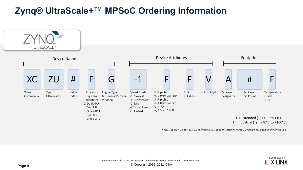# **Zynq® UltraScale+™ MPSoC Ordering Information**



*Note: -L2E (Tj = 0°C to +110°C). Refer to* [DS891](http://www.xilinx.com/support/documentation/data_sheets/ds891-zynq-ultrascale-plus-overview.pdf), *Zynq UltraScale+ MPSoC Overview for additional information.*